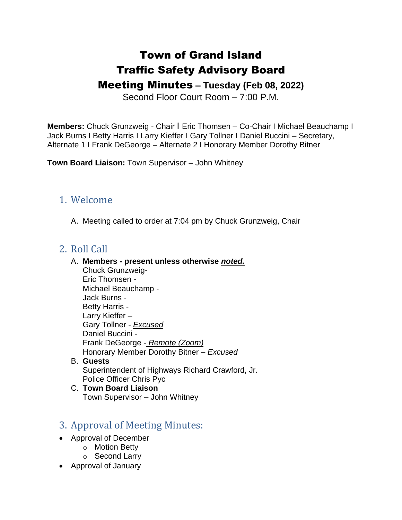# Town of Grand Island Traffic Safety Advisory Board

## Meeting Minutes **– Tuesday (Feb 08, 2022)**

Second Floor Court Room – 7:00 P.M.

**Members:** Chuck Grunzweig - Chair I Eric Thomsen – Co-Chair I Michael Beauchamp I Jack Burns I Betty Harris I Larry Kieffer I Gary Tollner I Daniel Buccini – Secretary, Alternate 1 I Frank DeGeorge – Alternate 2 I Honorary Member Dorothy Bitner

**Town Board Liaison:** Town Supervisor – John Whitney

### 1. Welcome

A. Meeting called to order at 7:04 pm by Chuck Grunzweig, Chair

### 2. Roll Call

#### A. **Members - present unless otherwise** *noted.*

Chuck Grunzweig-Eric Thomsen - Michael Beauchamp - Jack Burns - Betty Harris - Larry Kieffer – Gary Tollner - *Excused* Daniel Buccini - Frank DeGeorge - *Remote (Zoom)* Honorary Member Dorothy Bitner – *Excused*

- B. **Guests** Superintendent of Highways Richard Crawford, Jr. Police Officer Chris Pyc
- C. **Town Board Liaison** Town Supervisor – John Whitney

## 3. Approval of Meeting Minutes:

- Approval of December
	- o Motion Betty
	- o Second Larry
- Approval of January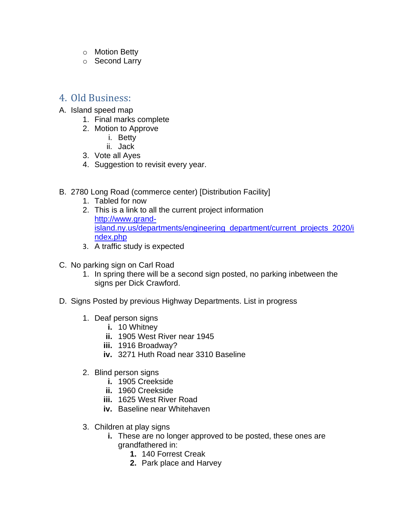- o Motion Betty
- o Second Larry

#### 4. Old Business:

- A. Island speed map
	- 1. Final marks complete
	- 2. Motion to Approve
		- i. Betty
		- ii. Jack
	- 3. Vote all Ayes
	- 4. Suggestion to revisit every year.
- B. 2780 Long Road (commerce center) [Distribution Facility]
	- 1. Tabled for now
	- 2. This is a link to all the current project information [http://www.grand](about:blank)[island.ny.us/departments/engineering\\_department/current\\_projects\\_2020/i](about:blank) [ndex.php](about:blank)
	- 3. A traffic study is expected
- C. No parking sign on Carl Road
	- 1. In spring there will be a second sign posted, no parking inbetween the signs per Dick Crawford.
- D. Signs Posted by previous Highway Departments. List in progress
	- 1. Deaf person signs
		- **i.** 10 Whitney
		- **ii.** 1905 West River near 1945
		- **iii.** 1916 Broadway?
		- **iv.** 3271 Huth Road near 3310 Baseline
	- 2. Blind person signs
		- **i.** 1905 Creekside
		- **ii.** 1960 Creekside
		- **iii.** 1625 West River Road
		- **iv.** Baseline near Whitehaven
	- 3. Children at play signs
		- **i.** These are no longer approved to be posted, these ones are grandfathered in:
			- **1.** 140 Forrest Creak
			- **2.** Park place and Harvey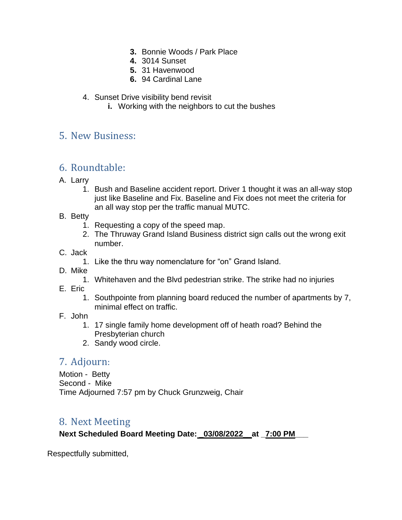- **3.** Bonnie Woods / Park Place
- **4.** 3014 Sunset
- **5.** 31 Havenwood
- **6.** 94 Cardinal Lane
- 4. Sunset Drive visibility bend revisit
	- **i.** Working with the neighbors to cut the bushes

### 5. New Business:

## 6. Roundtable:

- A. Larry
	- 1. Bush and Baseline accident report. Driver 1 thought it was an all-way stop just like Baseline and Fix. Baseline and Fix does not meet the criteria for an all way stop per the traffic manual MUTC.
- B. Betty
	- 1. Requesting a copy of the speed map.
	- 2. The Thruway Grand Island Business district sign calls out the wrong exit number.
- C. Jack
	- 1. Like the thru way nomenclature for "on" Grand Island.
- D. Mike
	- 1. Whitehaven and the Blvd pedestrian strike. The strike had no injuries
- E. Eric
	- 1. Southpointe from planning board reduced the number of apartments by 7, minimal effect on traffic.
- F. John
	- 1. 17 single family home development off of heath road? Behind the Presbyterian church
	- 2. Sandy wood circle.

## 7. Adjourn:

Motion - Betty Second - Mike Time Adjourned 7:57 pm by Chuck Grunzweig, Chair

## 8. Next Meeting

#### **Next Scheduled Board Meeting Date: \_03/08/2022\_\_at \_7:00 PM\_\_\_**

Respectfully submitted,